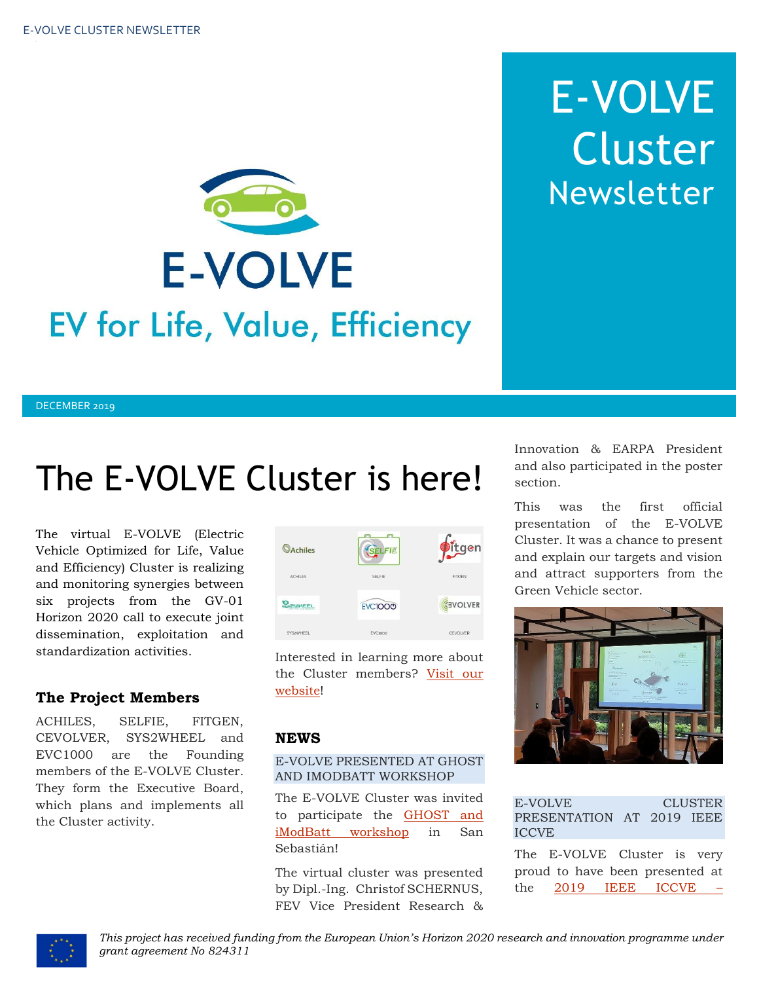

# E-VOLVE Cluster Newsletter

#### DECEMBER 2019

## The E-VOLVE Cluster is here!

The virtual E-VOLVE (Electric Vehicle Optimized for Life, Value and Efficiency) Cluster is realizing and monitoring synergies between six projects from the GV-01 Horizon 2020 call to execute joint dissemination, exploitation and standardization activities.

#### **The Project Members**

ACHILES, SELFIE, FITGEN, CEVOLVER, SYS2WHEEL and EVC1000 are the Founding members of the E-VOLVE Cluster. They form the Executive Board, which plans and implements all the Cluster activity.



Interested in learning more about the Cluster members? [Visit our](https://www.h2020-evolvecluster.eu/project-members)  [website!](https://www.h2020-evolvecluster.eu/project-members)

#### **NEWS**

#### E-VOLVE PRESENTED AT GHOST AND IMODBATT WORKSHOP

The E-VOLVE Cluster was invited to participate the [GHOST and](https://h2020-ghost.eu/latest-news/horizon-2020-projects-ghost-and-imodbatt-host-workshop/)  [iModBatt workshop](https://h2020-ghost.eu/latest-news/horizon-2020-projects-ghost-and-imodbatt-host-workshop/) in San Sebastián!

The virtual cluster was presented by Dipl.-Ing. Christof SCHERNUS, FEV Vice President Research & Innovation & EARPA President and also participated in the poster section.

This was the first official presentation of the E-VOLVE Cluster. It was a chance to present and explain our targets and vision and attract supporters from the Green Vehicle sector.



| <b>ICCVE</b> | E-VOLVE<br>PRESENTATION AT 2019 IEEE                                                                                                                                                                                                                          |  | <b>CLUSTER</b> |
|--------------|---------------------------------------------------------------------------------------------------------------------------------------------------------------------------------------------------------------------------------------------------------------|--|----------------|
|              | The E-VOLVE Cluster is very<br>to a common design de la communicación de la comunicación de la comunicación de la comunicación de la comunicación de la comunicación de la comunicación de la comunicación de la comunicación de la comunicación de la comuni |  |                |

proud to have been presented at the 2019 IEEE ICCVE